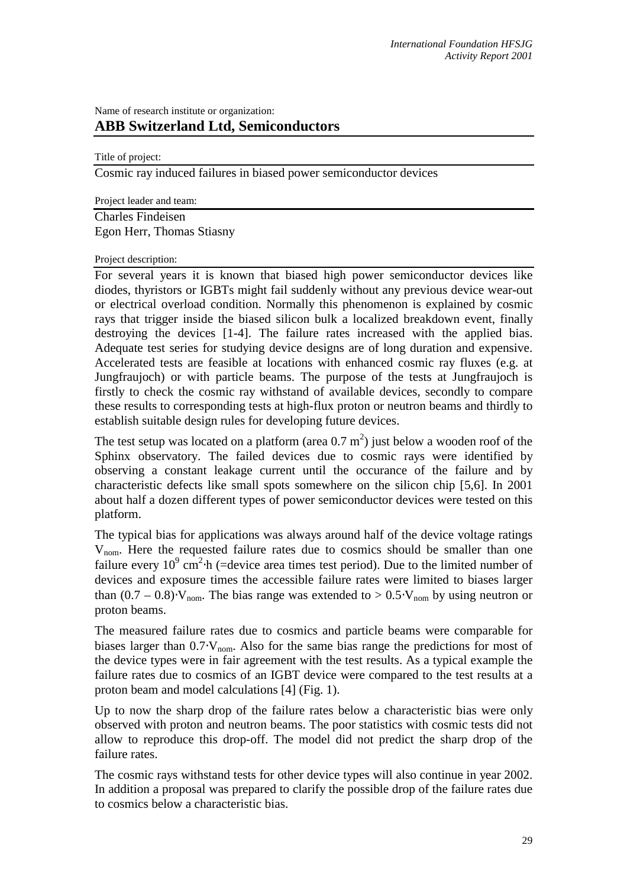## Name of research institute or organization: **ABB Switzerland Ltd, Semiconductors**

Title of project:

Cosmic ray induced failures in biased power semiconductor devices

Project leader and team:

Charles Findeisen Egon Herr, Thomas Stiasny

## Project description:

For several years it is known that biased high power semiconductor devices like diodes, thyristors or IGBTs might fail suddenly without any previous device wear-out or electrical overload condition. Normally this phenomenon is explained by cosmic rays that trigger inside the biased silicon bulk a localized breakdown event, finally destroying the devices [1-4]. The failure rates increased with the applied bias. Adequate test series for studying device designs are of long duration and expensive. Accelerated tests are feasible at locations with enhanced cosmic ray fluxes (e.g. at Jungfraujoch) or with particle beams. The purpose of the tests at Jungfraujoch is firstly to check the cosmic ray withstand of available devices, secondly to compare these results to corresponding tests at high-flux proton or neutron beams and thirdly to establish suitable design rules for developing future devices.

The test setup was located on a platform (area  $0.7 \text{ m}^2$ ) just below a wooden roof of the Sphinx observatory. The failed devices due to cosmic rays were identified by observing a constant leakage current until the occurance of the failure and by characteristic defects like small spots somewhere on the silicon chip [5,6]. In 2001 about half a dozen different types of power semiconductor devices were tested on this platform.

The typical bias for applications was always around half of the device voltage ratings Vnom. Here the requested failure rates due to cosmics should be smaller than one failure every  $10^9$  cm<sup>2</sup> $\cdot$ h (=device area times test period). Due to the limited number of devices and exposure times the accessible failure rates were limited to biases larger than  $(0.7 - 0.8) \, \text{V}_{\text{nom}}$ . The bias range was extended to >  $0.5 \, \text{V}_{\text{nom}}$  by using neutron or proton beams.

The measured failure rates due to cosmics and particle beams were comparable for biases larger than  $0.7 \text{·}V_{\text{nom}}$ . Also for the same bias range the predictions for most of the device types were in fair agreement with the test results. As a typical example the failure rates due to cosmics of an IGBT device were compared to the test results at a proton beam and model calculations [4] (Fig. 1).

Up to now the sharp drop of the failure rates below a characteristic bias were only observed with proton and neutron beams. The poor statistics with cosmic tests did not allow to reproduce this drop-off. The model did not predict the sharp drop of the failure rates.

The cosmic rays withstand tests for other device types will also continue in year 2002. In addition a proposal was prepared to clarify the possible drop of the failure rates due to cosmics below a characteristic bias.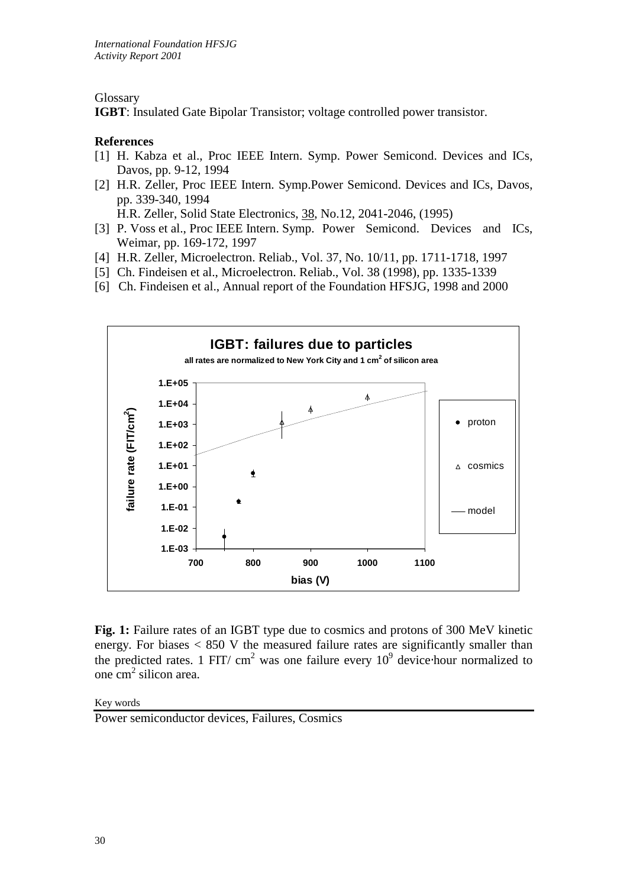Glossary

**IGBT**: Insulated Gate Bipolar Transistor; voltage controlled power transistor.

## **References**

- [1] H. Kabza et al., Proc IEEE Intern. Symp. Power Semicond. Devices and ICs, Davos, pp. 9-12, 1994
- [2] H.R. Zeller, Proc IEEE Intern. Symp.Power Semicond. Devices and ICs, Davos, pp. 339-340, 1994

H.R. Zeller, Solid State Electronics, 38, No.12, 2041-2046, (1995)

- [3] P. Voss et al., Proc IEEE Intern. Symp. Power Semicond. Devices and ICs, Weimar, pp. 169-172, 1997
- [4] H.R. Zeller, Microelectron. Reliab., Vol. 37, No. 10/11, pp. 1711-1718, 1997
- [5] Ch. Findeisen et al., Microelectron. Reliab., Vol. 38 (1998), pp. 1335-1339
- [6] Ch. Findeisen et al., Annual report of the Foundation HFSJG, 1998 and 2000



Fig. 1: Failure rates of an IGBT type due to cosmics and protons of 300 MeV kinetic energy. For biases  $\langle 850 \rangle$  V the measured failure rates are significantly smaller than the predicted rates. 1 FIT/ cm<sup>2</sup> was one failure every  $10^9$  device hour normalized to one cm 2 silicon area.

Key words

Power semiconductor devices, Failures, Cosmics